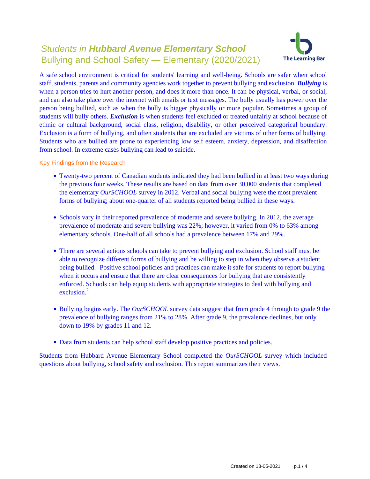# Students in **Hubbard Avenue Elementary School** Bullying and School Safety — Elementary (2020/2021)



A safe school environment is critical for students' learning and well-being. Schools are safer when school staff, students, parents and community agencies work together to prevent bullying and exclusion. *Bullying* is when a person tries to hurt another person, and does it more than once. It can be physical, verbal, or social, and can also take place over the internet with emails or text messages. The bully usually has power over the person being bullied, such as when the bully is bigger physically or more popular. Sometimes a group of students will bully others. *Exclusion* is when students feel excluded or treated unfairly at school because of ethnic or cultural background, social class, religion, disability, or other perceived categorical boundary. Exclusion is a form of bullying, and often students that are excluded are victims of other forms of bullying. Students who are bullied are prone to experiencing low self esteem, anxiety, depression, and disaffection from school. In extreme cases bullying can lead to suicide.

Key Findings from the Research

- Twenty-two percent of Canadian students indicated they had been bullied in at least two ways during the previous four weeks. These results are based on data from over 30,000 students that completed the elementary *OurSCHOOL* survey in 2012. Verbal and social bullying were the most prevalent forms of bullying; about one-quarter of all students reported being bullied in these ways.
- Schools vary in their reported prevalence of moderate and severe bullying. In 2012, the average prevalence of moderate and severe bullying was 22%; however, it varied from 0% to 63% among elementary schools. One-half of all schools had a prevalence between 17% and 29%.
- There are several actions schools can take to prevent bullying and exclusion. School staff must be able to recognize different forms of bullying and be willing to step in when they observe a student being bullied.<sup>1</sup> Positive school policies and practices can make it safe for students to report bullying when it occurs and ensure that there are clear consequences for bullying that are consistently enforced. Schools can help equip students with appropriate strategies to deal with bullying and exclusion $^2$
- Bullying begins early. The *OurSCHOOL* survey data suggest that from grade 4 through to grade 9 the prevalence of bullying ranges from 21% to 28%. After grade 9, the prevalence declines, but only down to 19% by grades 11 and 12.
- Data from students can help school staff develop positive practices and policies.

Students from Hubbard Avenue Elementary School completed the *OurSCHOOL* survey which included questions about bullying, school safety and exclusion. This report summarizes their views.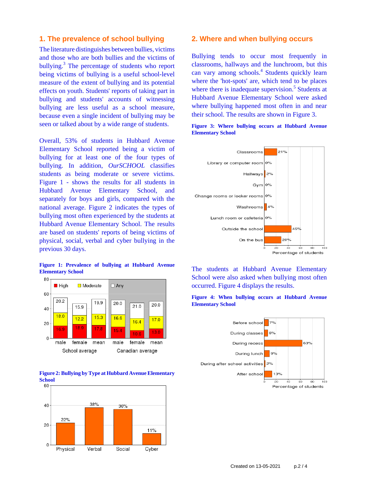## **1. The prevalence of school bullying**

The literature distinguishes between bullies, victims and those who are both bullies and the victims of bullying.<sup>3</sup> The percentage of students who report being victims of bullying is a useful school-level measure of the extent of bullying and its potential effects on youth. Students' reports of taking part in bullying and students' accounts of witnessing bullying are less useful as a school measure, because even a single incident of bullying may be seen or talked about by a wide range of students.

Overall, 53% of students in Hubbard Avenue Elementary School reported being a victim of bullying for at least one of the four types of bullying. In addition, *OurSCHOOL* classifies students as being moderate or severe victims. Figure 1 - shows the results for all students in Hubbard Avenue Elementary School, and separately for boys and girls, compared with the national average. Figure 2 indicates the types of bullying most often experienced by the students at Hubbard Avenue Elementary School. The results are based on students' reports of being victims of physical, social, verbal and cyber bullying in the previous 30 days.





**Figure 2: Bullying by Type at Hubbard Avenue Elementary**  $\frac{\text{School}}{60}$ 



#### **2. Where and when bullying occurs**

Bullying tends to occur most frequently in classrooms, hallways and the lunchroom, but this can vary among schools.<sup>4</sup> Students quickly learn where the 'hot-spots' are, which tend to be places where there is inadequate supervision.<sup>5</sup> Students at Hubbard Avenue Elementary School were asked where bullying happened most often in and near their school. The results are shown in Figure 3.



The students at Hubbard Avenue Elementary School were also asked when bullying most often occurred. Figure 4 displays the results.





**Figure 3: Where bullying occurs at Hubbard Avenue Elementary School**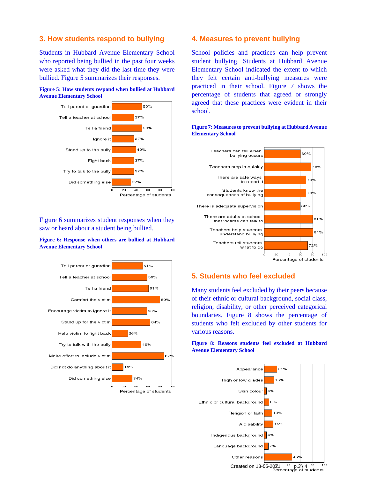## **3. How students respond to bullying**

Students in Hubbard Avenue Elementary School who reported being bullied in the past four weeks were asked what they did the last time they were bullied. Figure 5 summarizes their responses.





Figure 6 summarizes student responses when they saw or heard about a student being bullied.

#### **Figure 6: Response when others are bullied at Hubbard Avenue Elementary School**



### **4. Measures to prevent bullying**

School policies and practices can help prevent student bullying. Students at Hubbard Avenue Elementary School indicated the extent to which they felt certain anti-bullying measures were practiced in their school. Figure 7 shows the percentage of students that agreed or strongly agreed that these practices were evident in their school.



#### **Figure 7: Measures to prevent bullying at Hubbard Avenue Elementary School**

# **5. Students who feel excluded**

Many students feel excluded by their peers because of their ethnic or cultural background, social class, religion, disability, or other perceived categorical boundaries. Figure 8 shows the percentage of students who felt excluded by other students for various reasons.